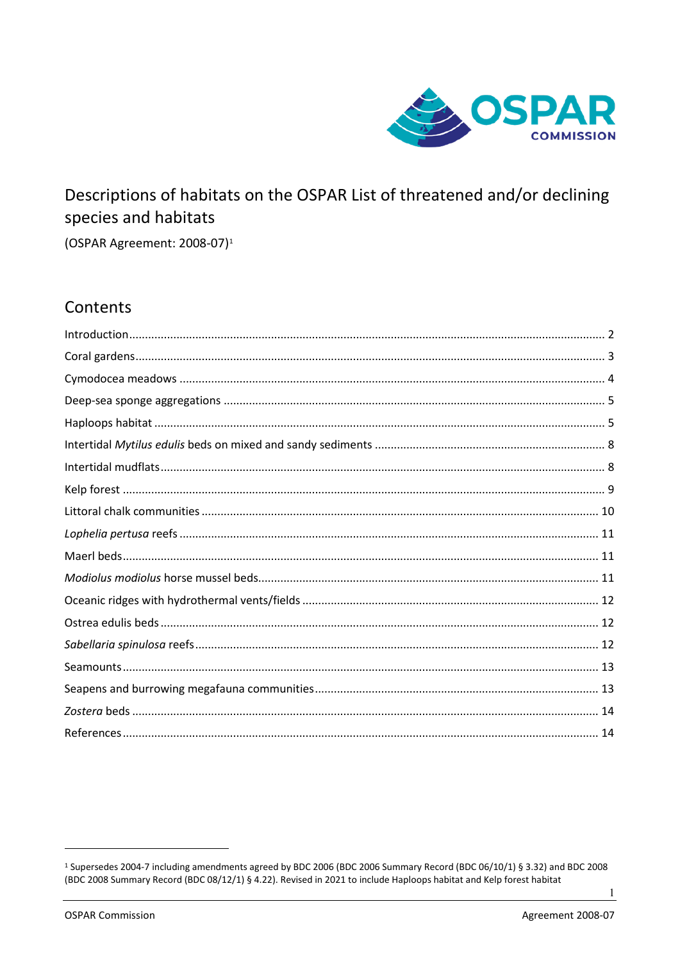

# Descriptions of habitats on the OSPAR List of threatened and/or declining species and habitats

(OSPAR Agreement: 2008-07)<sup>1</sup>

# Contents

 $\mathbf{1}$ 

<span id="page-0-0"></span><sup>&</sup>lt;sup>1</sup> Supersedes 2004-7 including amendments agreed by BDC 2006 (BDC 2006 Summary Record (BDC 06/10/1) § 3.32) and BDC 2008 (BDC 2008 Summary Record (BDC 08/12/1) § 4.22). Revised in 2021 to include Haploops habitat and Kelp forest habitat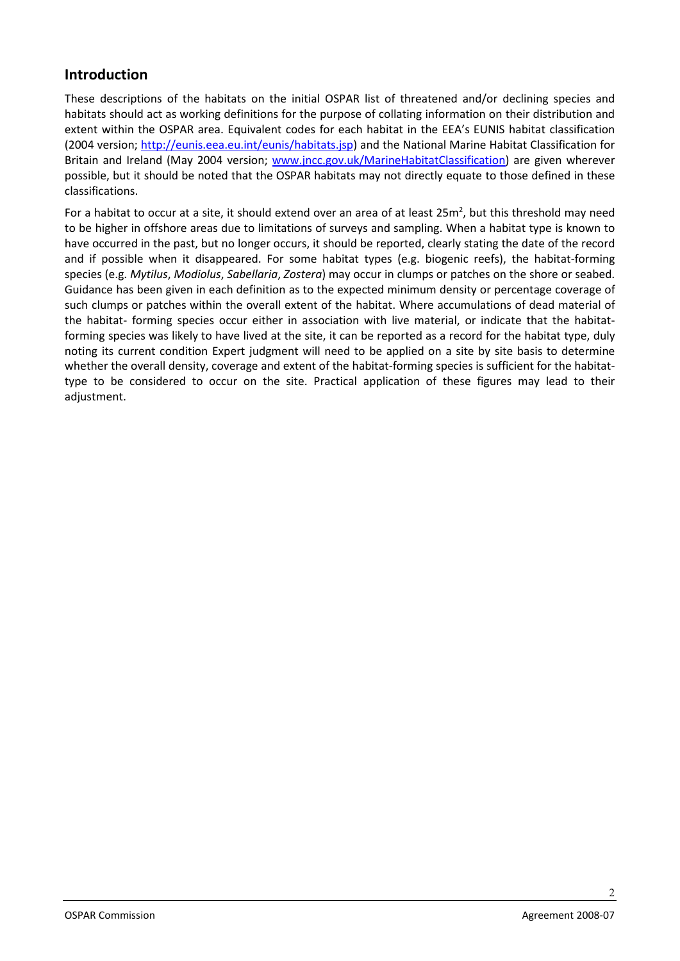# <span id="page-1-0"></span>**Introduction**

These descriptions of the habitats on the initial OSPAR list of threatened and/or declining species and habitats should act as working definitions for the purpose of collating information on their distribution and extent within the OSPAR area. Equivalent codes for each habitat in the EEA's EUNIS habitat classification (2004 version; http://eunis.eea.eu.int/eunis/habitats.jsp) and the National Marine Habitat Classification for Britain and Ireland (May 2004 version; www.jncc.gov.uk/MarineHabitatClassification) are given wherever possible, but it should be noted that the OSPAR habitats may not directly equate to those defined in these classifications.

For a habitat to occur at a site, it should extend over an area of at least 25 $m^2$ , but this threshold may need to be higher in offshore areas due to limitations of surveys and sampling. When a habitat type is known to have occurred in the past, but no longer occurs, it should be reported, clearly stating the date of the record and if possible when it disappeared. For some habitat types (e.g. biogenic reefs), the habitat-forming species (e.g. *Mytilus*, *Modiolus*, *Sabellaria*, *Zostera*) may occur in clumps or patches on the shore or seabed. Guidance has been given in each definition as to the expected minimum density or percentage coverage of such clumps or patches within the overall extent of the habitat. Where accumulations of dead material of the habitat- forming species occur either in association with live material, or indicate that the habitatforming species was likely to have lived at the site, it can be reported as a record for the habitat type, duly noting its current condition Expert judgment will need to be applied on a site by site basis to determine whether the overall density, coverage and extent of the habitat-forming species is sufficient for the habitattype to be considered to occur on the site. Practical application of these figures may lead to their adjustment.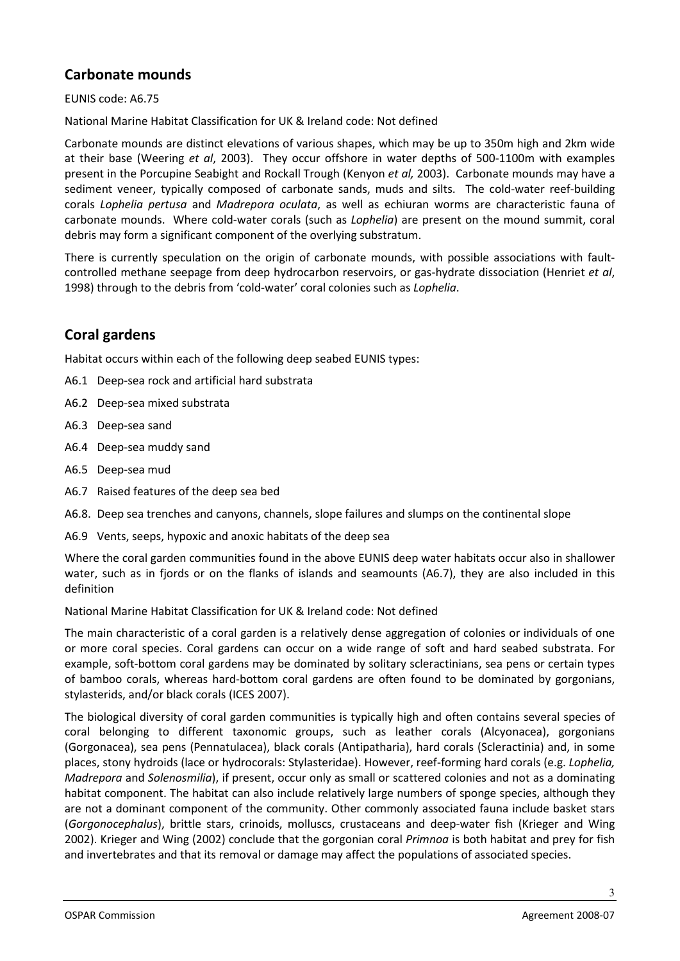# **Carbonate mounds**

EUNIS code: A6.75

National Marine Habitat Classification for UK & Ireland code: Not defined

Carbonate mounds are distinct elevations of various shapes, which may be up to 350m high and 2km wide at their base (Weering *et al*, 2003). They occur offshore in water depths of 500-1100m with examples present in the Porcupine Seabight and Rockall Trough (Kenyon *et al,* 2003). Carbonate mounds may have a sediment veneer, typically composed of carbonate sands, muds and silts. The cold-water reef-building corals *Lophelia pertusa* and *Madrepora oculata*, as well as [echiuran worms](http://www.ldeo.columbia.edu/dees/ees/life/slides/oldec/echiura.html) are characteristic fauna of carbonate mounds. Where cold-water corals (such as *Lophelia*) are present on the mound summit, coral debris may form a significant component of the overlying substratum.

There is currently speculation on the origin of carbonate mounds, with possible associations with faultcontrolled methane seepage from deep hydrocarbon reservoirs, or gas-hydrate dissociation (Henriet *et al*, 1998) through to the debris from 'cold-water' coral colonies such as *Lophelia*.

### <span id="page-2-0"></span>**Coral gardens**

Habitat occurs within each of the following deep seabed EUNIS types:

- A6.1 Deep-sea rock and artificial hard substrata
- A6.2 Deep-sea mixed substrata
- A6.3 Deep-sea sand
- A6.4 Deep-sea muddy sand
- A6.5 Deep-sea mud
- A6.7 Raised features of the deep sea bed
- A6.8. Deep sea trenches and canyons, channels, slope failures and slumps on the continental slope
- A6.9 Vents, seeps, hypoxic and anoxic habitats of the deep sea

Where the coral garden communities found in the above EUNIS deep water habitats occur also in shallower water, such as in fjords or on the flanks of islands and seamounts (A6.7), they are also included in this definition

National Marine Habitat Classification for UK & Ireland code: Not defined

The main characteristic of a coral garden is a relatively dense aggregation of colonies or individuals of one or more coral species. Coral gardens can occur on a wide range of soft and hard seabed substrata. For example, soft-bottom coral gardens may be dominated by solitary scleractinians, sea pens or certain types of bamboo corals, whereas hard-bottom coral gardens are often found to be dominated by gorgonians, stylasterids, and/or black corals (ICES 2007).

The biological diversity of coral garden communities is typically high and often contains several species of coral belonging to different taxonomic groups, such as leather corals (Alcyonacea), gorgonians (Gorgonacea), sea pens (Pennatulacea), black corals (Antipatharia), hard corals (Scleractinia) and, in some places, stony hydroids (lace or hydrocorals: Stylasteridae). However, reef-forming hard corals (e.g. *Lophelia, Madrepora* and *Solenosmilia*), if present, occur only as small or scattered colonies and not as a dominating habitat component. The habitat can also include relatively large numbers of sponge species, although they are not a dominant component of the community. Other commonly associated fauna include basket stars (*Gorgonocephalus*), brittle stars, crinoids, molluscs, crustaceans and deep-water fish (Krieger and Wing 2002). Krieger and Wing (2002) conclude that the gorgonian coral *Primnoa* is both habitat and prey for fish and invertebrates and that its removal or damage may affect the populations of associated species.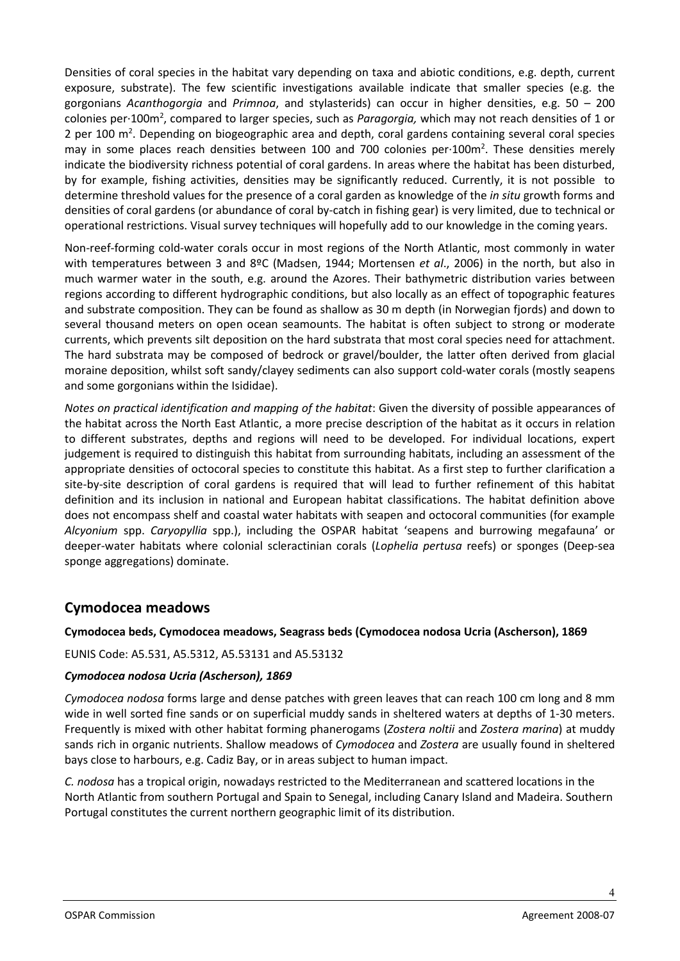Densities of coral species in the habitat vary depending on taxa and abiotic conditions, e.g. depth, current exposure, substrate). The few scientific investigations available indicate that smaller species (e.g. the gorgonians *Acanthogorgia* and *Primnoa*, and stylasterids) can occur in higher densities, e.g. 50 – 200 colonies per·100m2 , compared to larger species, such as *Paragorgia,* which may not reach densities of 1 or 2 per 100 m<sup>2</sup>. Depending on biogeographic area and depth, coral gardens containing several coral species may in some places reach densities between 100 and 700 colonies per $\cdot$ 100m<sup>2</sup>. These densities merely indicate the biodiversity richness potential of coral gardens. In areas where the habitat has been disturbed, by for example, fishing activities, densities may be significantly reduced. Currently, it is not possible to determine threshold values for the presence of a coral garden as knowledge of the *in situ* growth forms and densities of coral gardens (or abundance of coral by-catch in fishing gear) is very limited, due to technical or operational restrictions. Visual survey techniques will hopefully add to our knowledge in the coming years.

Non-reef-forming cold-water corals occur in most regions of the North Atlantic, most commonly in water with temperatures between 3 and 8ºC (Madsen, 1944; Mortensen *et al*., 2006) in the north, but also in much warmer water in the south, e.g. around the Azores. Their bathymetric distribution varies between regions according to different hydrographic conditions, but also locally as an effect of topographic features and substrate composition. They can be found as shallow as 30 m depth (in Norwegian fjords) and down to several thousand meters on open ocean seamounts. The habitat is often subject to strong or moderate currents, which prevents silt deposition on the hard substrata that most coral species need for attachment. The hard substrata may be composed of bedrock or gravel/boulder, the latter often derived from glacial moraine deposition, whilst soft sandy/clayey sediments can also support cold-water corals (mostly seapens and some gorgonians within the Isididae).

*Notes on practical identification and mapping of the habitat*: Given the diversity of possible appearances of the habitat across the North East Atlantic, a more precise description of the habitat as it occurs in relation to different substrates, depths and regions will need to be developed. For individual locations, expert judgement is required to distinguish this habitat from surrounding habitats, including an assessment of the appropriate densities of octocoral species to constitute this habitat. As a first step to further clarification a site-by-site description of coral gardens is required that will lead to further refinement of this habitat definition and its inclusion in national and European habitat classifications. The habitat definition above does not encompass shelf and coastal water habitats with seapen and octocoral communities (for example *Alcyonium* spp. *Caryopyllia* spp.), including the OSPAR habitat 'seapens and burrowing megafauna' or deeper-water habitats where colonial scleractinian corals (*Lophelia pertusa* reefs) or sponges (Deep-sea sponge aggregations) dominate.

### <span id="page-3-0"></span>**Cymodocea meadows**

#### **Cymodocea beds, Cymodocea meadows, Seagrass beds (Cymodocea nodosa Ucria (Ascherson), 1869**

EUNIS Code: A5.531, A5.5312, A5.53131 and A5.53132

#### *Cymodocea nodosa Ucria (Ascherson), 1869*

*Cymodocea nodosa* forms large and dense patches with green leaves that can reach 100 cm long and 8 mm wide in well sorted fine sands or on superficial muddy sands in sheltered waters at depths of 1-30 meters. Frequently is mixed with other habitat forming phanerogams (*Zostera noltii* and *Zostera marina*) at muddy sands rich in organic nutrients. Shallow meadows of *Cymodocea* and *Zostera* are usually found in sheltered bays close to harbours, e.g. Cadiz Bay, or in areas subject to human impact.

*C. nodosa* has a tropical origin, nowadays restricted to the Mediterranean and scattered locations in the North Atlantic from southern Portugal and Spain to Senegal, including Canary Island and Madeira. Southern Portugal constitutes the current northern geographic limit of its distribution.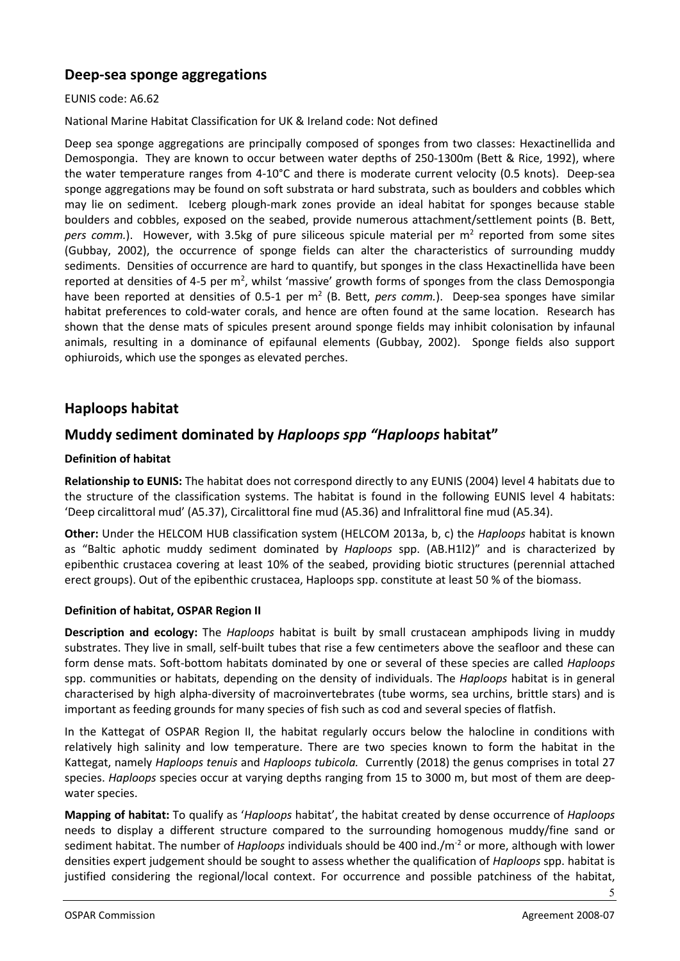### <span id="page-4-0"></span>**Deep-sea sponge aggregations**

#### EUNIS code: A6.62

National Marine Habitat Classification for UK & Ireland code: Not defined

Deep sea sponge aggregations are principally composed of sponges from two classes: Hexactinellida and Demospongia. They are known to occur between water depths of 250-1300m (Bett & Rice, 1992), where the water temperature ranges from 4-10°C and there is moderate current velocity (0.5 knots). Deep-sea sponge aggregations may be found on soft substrata or hard substrata, such as boulders and cobbles which may lie on sediment. Iceberg plough-mark zones provide an ideal habitat for sponges because stable boulders and cobbles, exposed on the seabed, provide numerous attachment/settlement points (B. Bett, *pers comm.*). However, with 3.5kg of pure siliceous spicule material per m<sup>2</sup> reported from some sites (Gubbay, 2002), the occurrence of sponge fields can alter the characteristics of surrounding muddy sediments. Densities of occurrence are hard to quantify, but sponges in the class Hexactinellida have been reported at densities of 4-5 per  $m^2$ , whilst 'massive' growth forms of sponges from the class Demospongia have been reported at densities of 0.5-1 per m<sup>2</sup> (B. Bett, *pers comm.*). Deep-sea sponges have similar habitat preferences to cold-water corals, and hence are often found at the same location. Research has shown that the dense mats of spicules present around sponge fields may inhibit colonisation by infaunal animals, resulting in a dominance of epifaunal elements (Gubbay, 2002). Sponge fields also support ophiuroids, which use the sponges as elevated perches.

### <span id="page-4-1"></span>**Haploops habitat**

### **Muddy sediment dominated by** *Haploops spp "Haploops* **habitat"**

#### **Definition of habitat**

**Relationship to EUNIS:** The habitat does not correspond directly to any EUNIS (2004) level 4 habitats due to the structure of the classification systems. The habitat is found in the following EUNIS level 4 habitats: 'Deep circalittoral mud' (A5.37), Circalittoral fine mud (A5.36) and Infralittoral fine mud (A5.34).

**Other:** Under the HELCOM HUB classification system (HELCOM 2013a, b, c) the *Haploops* habitat is known as "Baltic aphotic muddy sediment dominated by *Haploops* spp. (AB.H1l2)" and is characterized by epibenthic crustacea covering at least 10% of the seabed, providing biotic structures (perennial attached erect groups). Out of the epibenthic crustacea, Haploops spp. constitute at least 50 % of the biomass.

#### **Definition of habitat, OSPAR Region II**

**Description and ecology:** The *Haploops* habitat is built by small crustacean amphipods living in muddy substrates. They live in small, self-built tubes that rise a few centimeters above the seafloor and these can form dense mats. Soft-bottom habitats dominated by one or several of these species are called *Haploops* spp. communities or habitats, depending on the density of individuals. The *Haploops* habitat is in general characterised by high alpha-diversity of macroinvertebrates (tube worms, sea urchins, brittle stars) and is important as feeding grounds for many species of fish such as cod and several species of flatfish.

In the Kattegat of OSPAR Region II, the habitat regularly occurs below the halocline in conditions with relatively high salinity and low temperature. There are two species known to form the habitat in the Kattegat, namely *Haploops tenuis* and *Haploops tubicola.* Currently (2018) the genus comprises in total 27 species. *Haploops* species occur at varying depths ranging from 15 to 3000 m, but most of them are deepwater species.

**Mapping of habitat:** To qualify as '*Haploops* habitat', the habitat created by dense occurrence of *Haploops* needs to display a different structure compared to the surrounding homogenous muddy/fine sand or sediment habitat. The number of *Haploops* individuals should be 400 ind./m-2 or more, although with lower densities expert judgement should be sought to assess whether the qualification of *Haploops* spp. habitat is justified considering the regional/local context. For occurrence and possible patchiness of the habitat,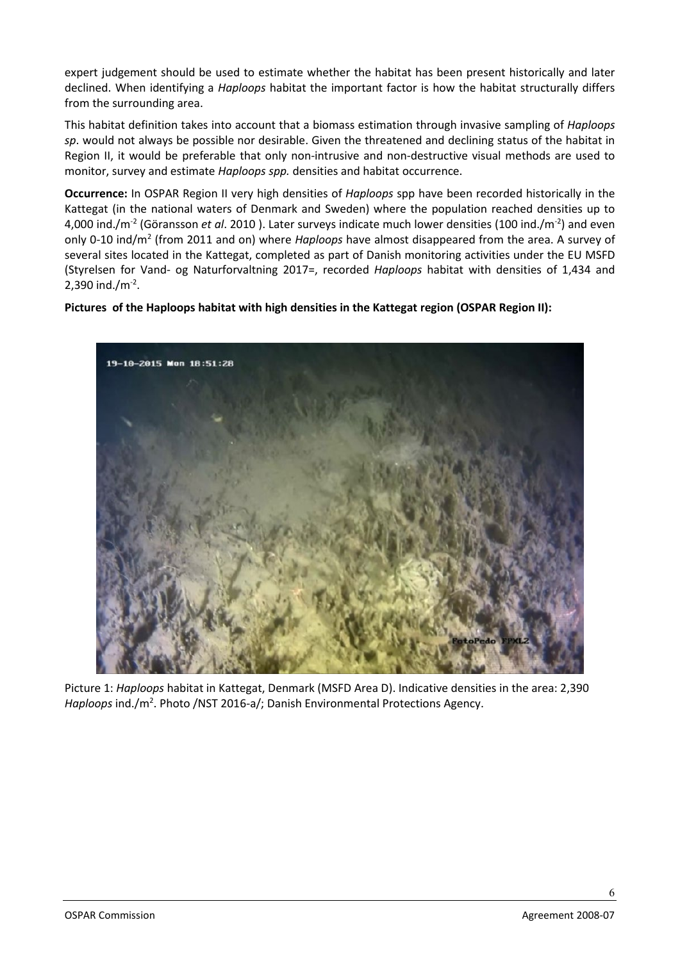expert judgement should be used to estimate whether the habitat has been present historically and later declined. When identifying a *Haploops* habitat the important factor is how the habitat structurally differs from the surrounding area.

This habitat definition takes into account that a biomass estimation through invasive sampling of *Haploops sp*. would not always be possible nor desirable. Given the threatened and declining status of the habitat in Region II, it would be preferable that only non-intrusive and non-destructive visual methods are used to monitor, survey and estimate *Haploops spp.* densities and habitat occurrence.

**Occurrence:** In OSPAR Region II very high densities of *Haploops* spp have been recorded historically in the Kattegat (in the national waters of Denmark and Sweden) where the population reached densities up to 4,000 ind./m<sup>-2</sup> (Göransson *et al*. 2010 ). Later surveys indicate much lower densities (100 ind./m<sup>-2</sup>) and even only 0-10 ind/m2 (from 2011 and on) where *Haploops* have almost disappeared from the area. A survey of several sites located in the Kattegat, completed as part of Danish monitoring activities under the EU MSFD (Styrelsen for Vand- og Naturforvaltning 2017=, recorded *Haploops* habitat with densities of 1,434 and  $2,390$  ind./m<sup>-2</sup>.

#### **Pictures of the Haploops habitat with high densities in the Kattegat region (OSPAR Region II):**



Picture 1: *Haploops* habitat in Kattegat, Denmark (MSFD Area D). Indicative densities in the area: 2,390 Haploops ind./m<sup>2</sup>. Photo /NST 2016-a/; Danish Environmental Protections Agency.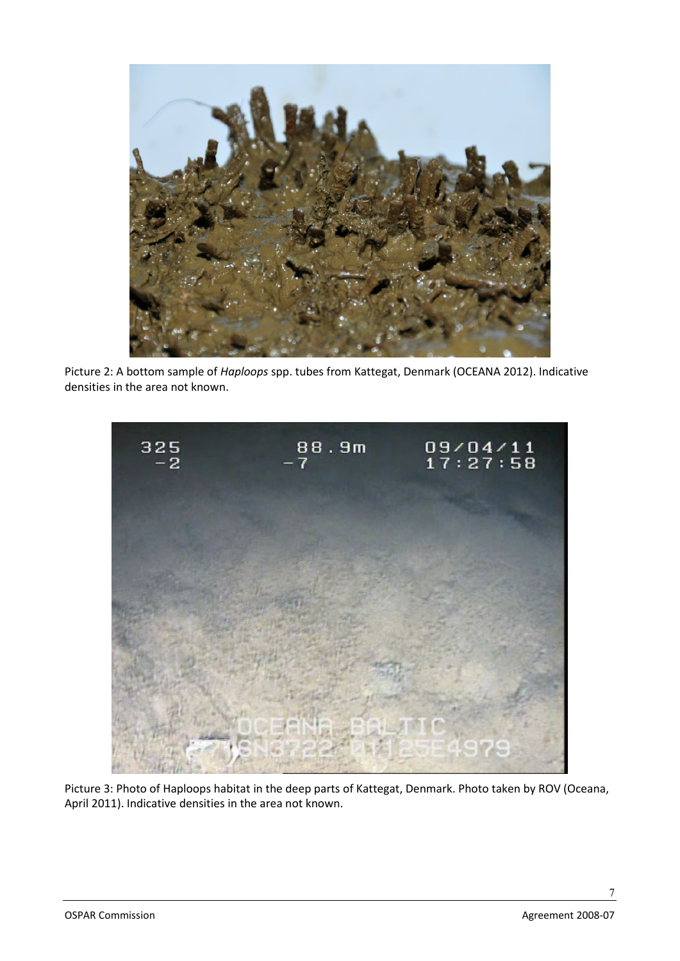

Picture 2: A bottom sample of *Haploops* spp. tubes from Kattegat, Denmark (OCEANA 2012). Indicative densities in the area not known.



Picture 3: Photo of Haploops habitat in the deep parts of Kattegat, Denmark. Photo taken by ROV (Oceana, April 2011). Indicative densities in the area not known.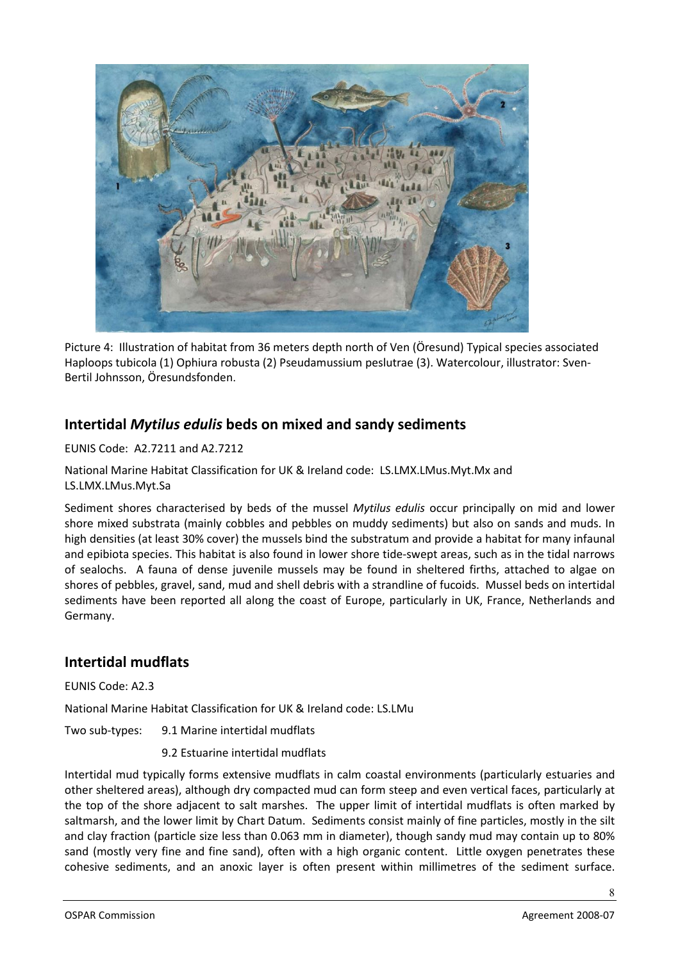

Picture 4: Illustration of habitat from 36 meters depth north of Ven (Öresund) Typical species associated Haploops tubicola (1) Ophiura robusta (2) Pseudamussium peslutrae (3). Watercolour, illustrator: Sven-Bertil Johnsson, Öresundsfonden.

# <span id="page-7-0"></span>**Intertidal** *Mytilus edulis* **beds on mixed and sandy sediments**

EUNIS Code: A2.7211 and A2.7212

National Marine Habitat Classification for UK & Ireland code: LS.LMX.LMus.Myt.Mx and LS.LMX.LMus.Myt.Sa

Sediment shores characterised by beds of the mussel *Mytilus edulis* occur principally on mid and lower shore mixed substrata (mainly cobbles and pebbles on muddy sediments) but also on sands and muds. In high densities (at least 30% cover) the mussels bind the substratum and provide a habitat for many infaunal and epibiota species. This habitat is also found in lower shore tide-swept areas, such as in the tidal narrows of sealochs. A fauna of dense juvenile mussels may be found in sheltered firths, attached to algae on shores of pebbles, gravel, sand, mud and shell debris with a strandline of fucoids. Mussel beds on intertidal sediments have been reported all along the coast of Europe, particularly in UK, France, Netherlands and Germany.

### <span id="page-7-1"></span>**Intertidal mudflats**

EUNIS Code: A2.3

National Marine Habitat Classification for UK & Ireland code: LS.LMu

Two sub-types: 9.1 Marine intertidal mudflats

9.2 Estuarine intertidal mudflats

Intertidal mud typically forms extensive mudflats in calm coastal environments (particularly estuaries and other sheltered areas), although dry compacted mud can form steep and even vertical faces, particularly at the top of the shore adjacent to salt marshes. The upper limit of intertidal mudflats is often marked by saltmarsh, and the lower limit by Chart Datum. Sediments consist mainly of fine particles, mostly in the silt and clay fraction (particle size less than 0.063 mm in diameter), though sandy mud may contain up to 80% sand (mostly very fine and fine sand), often with a high organic content. Little oxygen penetrates these cohesive sediments, and an anoxic layer is often present within millimetres of the sediment surface.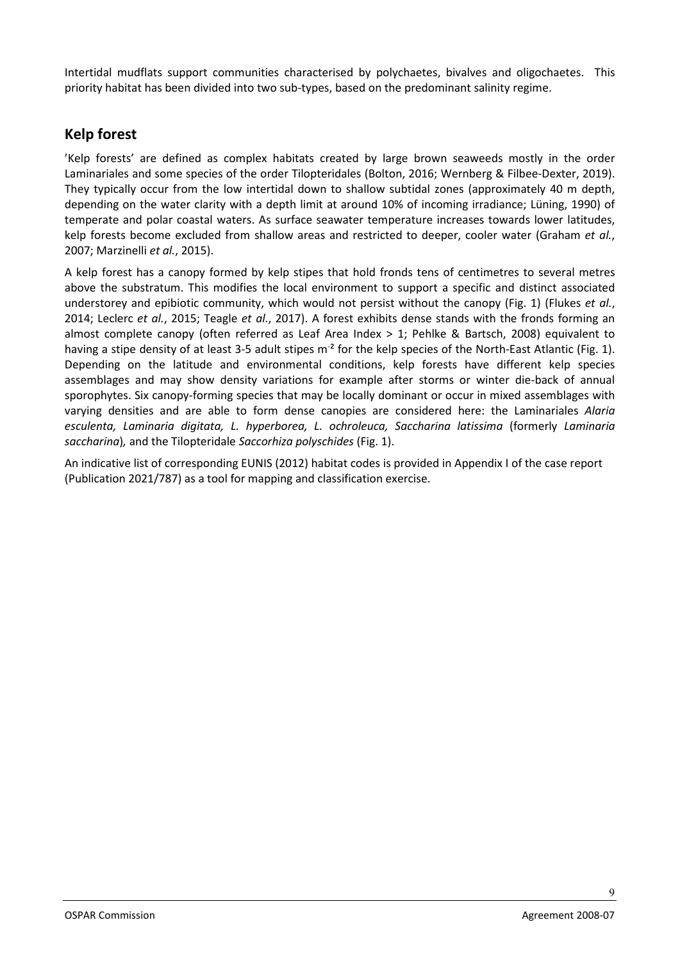Intertidal mudflats support communities characterised by polychaetes, bivalves and oligochaetes. This priority habitat has been divided into two sub-types, based on the predominant salinity regime.

### <span id="page-8-0"></span>**Kelp forest**

'Kelp forests' are defined as complex habitats created by large brown seaweeds mostly in the order Laminariales and some species of the order Tilopteridales (Bolton, 2016; Wernberg & Filbee-Dexter, 2019). They typically occur from the low intertidal down to shallow subtidal zones (approximately 40 m depth, depending on the water clarity with a depth limit at around 10% of incoming irradiance; Lüning, 1990) of temperate and polar coastal waters. As surface seawater temperature increases towards lower latitudes, kelp forests become excluded from shallow areas and restricted to deeper, cooler water (Graham *et al.*, 2007; Marzinelli *et al.*, 2015).

A kelp forest has a canopy formed by kelp stipes that hold fronds tens of centimetres to several metres above the substratum. This modifies the local environment to support a specific and distinct associated understorey and epibiotic community, which would not persist without the canopy (Fig. 1) (Flukes *et al.*, 2014; Leclerc *et al.*, 2015; Teagle *et al.*, 2017). A forest exhibits dense stands with the fronds forming an almost complete canopy (often referred as Leaf Area Index > 1; Pehlke & Bartsch, 2008) equivalent to having a stipe density of at least 3-5 adult stipes m<sup>-2</sup> for the kelp species of the North-East Atlantic (Fig. 1). Depending on the latitude and environmental conditions, kelp forests have different kelp species assemblages and may show density variations for example after storms or winter die-back of annual sporophytes. Six canopy-forming species that may be locally dominant or occur in mixed assemblages with varying densities and are able to form dense canopies are considered here: the Laminariales *Alaria esculenta, Laminaria digitata, L. hyperborea, L. ochroleuca, Saccharina latissima* (formerly *Laminaria saccharina*)*,* and the Tilopteridale *Saccorhiza polyschides* (Fig. 1).

An indicative list of corresponding EUNIS (2012) habitat codes is provided in Appendix I of the case report (Publication 2021/787) as a tool for mapping and classification exercise.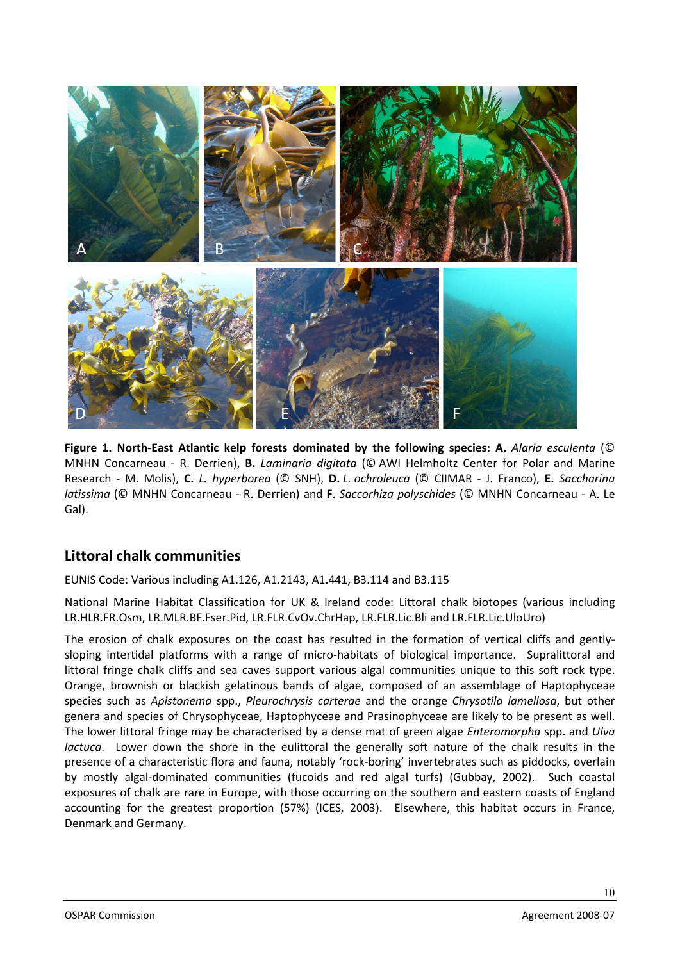

**Figure 1. North-East Atlantic kelp forests dominated by the following species: A.** *Alaria esculenta* (© MNHN Concarneau - R. Derrien), **B.** *Laminaria digitata* (© AWI Helmholtz Center for Polar and Marine Research - M. Molis), **C.** *L. hyperborea* (© SNH), **D.** *L. ochroleuca* (© CIIMAR - J. Franco), **E.** *Saccharina latissima* (© MNHN Concarneau - R. Derrien) and **F**. *Saccorhiza polyschides* (© MNHN Concarneau - A. Le Gal).

### <span id="page-9-0"></span>**Littoral chalk communities**

EUNIS Code: Various including A1.126, A1.2143, A1.441, B3.114 and B3.115

National Marine Habitat Classification for UK & Ireland code: Littoral chalk biotopes (various including LR.HLR.FR.Osm, LR.MLR.BF.Fser.Pid, LR.FLR.CvOv.ChrHap, LR.FLR.Lic.Bli and LR.FLR.Lic.UloUro)

The erosion of chalk exposures on the coast has resulted in the formation of vertical cliffs and gentlysloping intertidal platforms with a range of micro-habitats of biological importance. Supralittoral and littoral fringe chalk cliffs and sea caves support various algal communities unique to this soft rock type. Orange, brownish or blackish gelatinous bands of algae, composed of an assemblage of Haptophyceae species such as *Apistonema* spp., *Pleurochrysis carterae* and the orange *Chrysotila lamellosa*, but other genera and species of Chrysophyceae, Haptophyceae and Prasinophyceae are likely to be present as well. The lower littoral fringe may be characterised by a dense mat of green algae *Enteromorpha* spp. and *Ulva lactuca*. Lower down the shore in the eulittoral the generally soft nature of the chalk results in the presence of a characteristic flora and fauna, notably 'rock-boring' invertebrates such as piddocks, overlain by mostly algal-dominated communities (fucoids and red algal turfs) (Gubbay, 2002). Such coastal exposures of chalk are rare in Europe, with those occurring on the southern and eastern coasts of England accounting for the greatest proportion (57%) (ICES, 2003). Elsewhere, this habitat occurs in France, Denmark and Germany.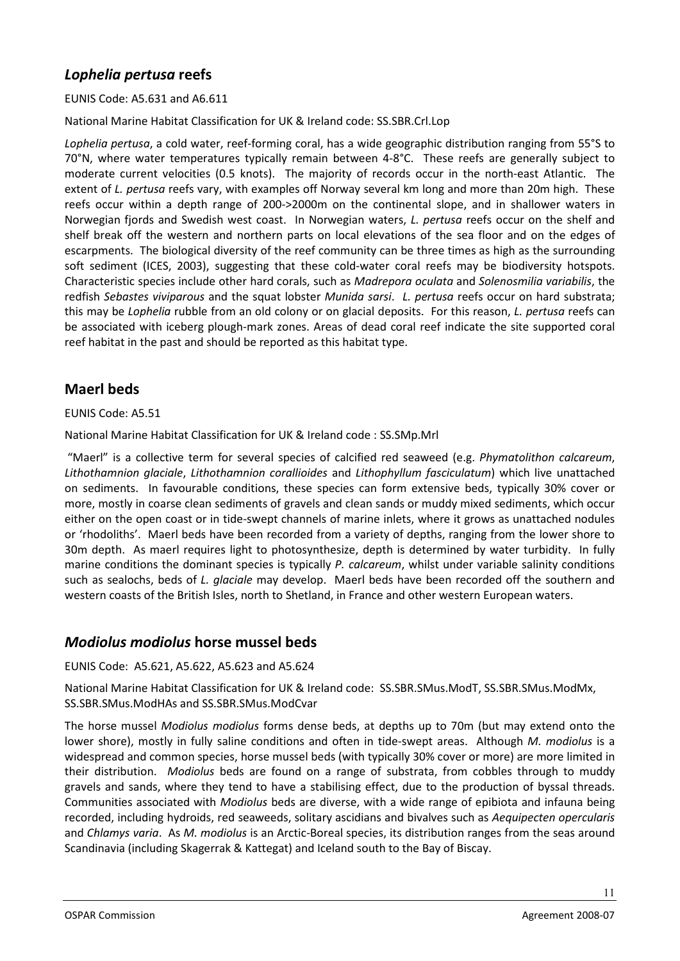# <span id="page-10-0"></span>*Lophelia pertusa* **reefs**

EUNIS Code: A5.631 and A6.611

National Marine Habitat Classification for UK & Ireland code: SS.SBR.Crl.Lop

*Lophelia pertusa*, a cold water, reef-forming coral, has a wide geographic distribution ranging from 55°S to 70°N, where water temperatures typically remain between 4-8°C. These reefs are generally subject to moderate current velocities (0.5 knots). The majority of records occur in the north-east Atlantic. The extent of *L. pertusa* reefs vary, with examples off Norway several km long and more than 20m high. These reefs occur within a depth range of 200->2000m on the continental slope, and in shallower waters in Norwegian fjords and Swedish west coast. In Norwegian waters, *L. pertusa* reefs occur on the shelf and shelf break off the western and northern parts on local elevations of the sea floor and on the edges of escarpments. The biological diversity of the reef community can be three times as high as the surrounding soft sediment (ICES, 2003), suggesting that these cold-water coral reefs may be biodiversity hotspots. Characteristic species include other hard corals, such as *Madrepora oculata* and *Solenosmilia variabilis*, the redfish *Sebastes viviparous* and the squat lobster *Munida sarsi*. *L. pertusa* reefs occur on hard substrata; this may be *Lophelia* rubble from an old colony or on glacial deposits. For this reason, *L. pertusa* reefs can be associated with iceberg plough-mark zones. Areas of dead coral reef indicate the site supported coral reef habitat in the past and should be reported as this habitat type.

# <span id="page-10-1"></span>**Maerl beds**

#### EUNIS Code: A5.51

National Marine Habitat Classification for UK & Ireland code : SS.SMp.Mrl

"Maerl" is a collective term for several species of calcified red seaweed (e.g. *Phymatolithon calcareum*, *Lithothamnion glaciale*, *Lithothamnion corallioides* and *Lithophyllum fasciculatum*) which live unattached on sediments. In favourable conditions, these species can form extensive beds, typically 30% cover or more, mostly in coarse clean sediments of gravels and clean sands or muddy mixed sediments, which occur either on the open coast or in tide-swept channels of marine inlets, where it grows as unattached nodules or 'rhodoliths'. Maerl beds have been recorded from a variety of depths, ranging from the lower shore to 30m depth. As maerl requires light to photosynthesize, depth is determined by water turbidity. In fully marine conditions the dominant species is typically *P. calcareum*, whilst under variable salinity conditions such as sealochs, beds of *L. glaciale* may develop. Maerl beds have been recorded off the southern and western coasts of the British Isles, north to Shetland, in France and other western European waters.

#### <span id="page-10-2"></span>*Modiolus modiolus* **horse mussel beds**

EUNIS Code: A5.621, A5.622, A5.623 and A5.624

National Marine Habitat Classification for UK & Ireland code: SS.SBR.SMus.ModT, SS.SBR.SMus.ModMx, SS.SBR.SMus.ModHAs and SS.SBR.SMus.ModCvar

The horse mussel *Modiolus modiolus* forms dense beds, at depths up to 70m (but may extend onto the lower shore), mostly in fully saline conditions and often in tide-swept areas. Although *M. modiolus* is a widespread and common species, horse mussel beds (with typically 30% cover or more) are more limited in their distribution. *Modiolus* beds are found on a range of substrata, from cobbles through to muddy gravels and sands, where they tend to have a stabilising effect, due to the production of byssal threads. Communities associated with *Modiolus* beds are diverse, with a wide range of epibiota and infauna being recorded, including hydroids, red seaweeds, solitary ascidians and bivalves such as *Aequipecten opercularis* and *Chlamys varia*. As *M. modiolus* is an Arctic-Boreal species, its distribution ranges from the seas around Scandinavia (including Skagerrak & Kattegat) and Iceland south to the Bay of Biscay.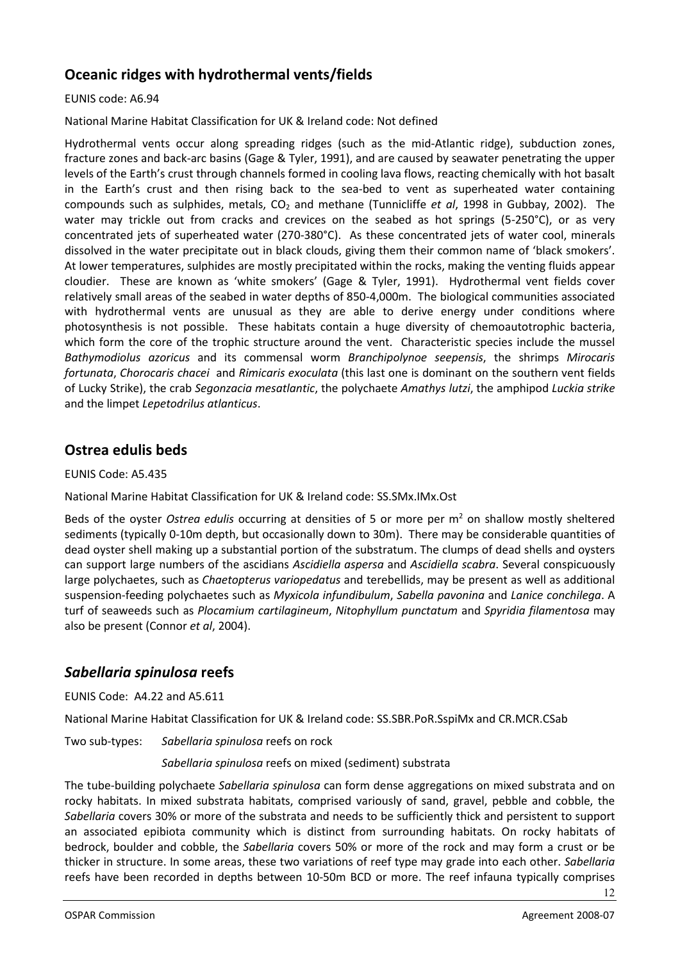# <span id="page-11-0"></span>**Oceanic ridges with hydrothermal vents/fields**

#### EUNIS code: A6.94

National Marine Habitat Classification for UK & Ireland code: Not defined

Hydrothermal vents occur along spreading ridges (such as the mid-Atlantic ridge), subduction zones, fracture zones and back-arc basins (Gage & Tyler, 1991), and are caused by seawater penetrating the upper levels of the Earth's crust through channels formed in cooling lava flows, reacting chemically with hot basalt in the Earth's crust and then rising back to the sea-bed to vent as superheated water containing compounds such as sulphides, metals, CO2 and methane (Tunnicliffe *et al*, 1998 in Gubbay, 2002). The water may trickle out from cracks and crevices on the seabed as hot springs (5-250°C), or as very concentrated jets of superheated water (270-380°C). As these concentrated jets of water cool, minerals dissolved in the water precipitate out in black clouds, giving them their common name of 'black smokers'. At lower temperatures, sulphides are mostly precipitated within the rocks, making the venting fluids appear cloudier. These are known as 'white smokers' (Gage & Tyler, 1991). Hydrothermal vent fields cover relatively small areas of the seabed in water depths of 850-4,000m. The biological communities associated with hydrothermal vents are unusual as they are able to derive energy under conditions where photosynthesis is not possible. These habitats contain a huge diversity of chemoautotrophic bacteria, which form the core of the trophic structure around the vent. Characteristic species include the mussel *Bathymodiolus azoricus* and its commensal worm *Branchipolynoe seepensis*, the shrimps *Mirocaris fortunata*, *Chorocaris chacei* and *Rimicaris exoculata* (this last one is dominant on the southern vent fields of Lucky Strike), the crab *Segonzacia mesatlantic*, the polychaete *Amathys lutzi*, the amphipod *Luckia strike* and the limpet *Lepetodrilus atlanticus*.

#### <span id="page-11-1"></span>**Ostrea edulis beds**

EUNIS Code: A5.435

National Marine Habitat Classification for UK & Ireland code: SS.SMx.IMx.Ost

Beds of the oyster *Ostrea edulis* occurring at densities of 5 or more per m2 on shallow mostly sheltered sediments (typically 0-10m depth, but occasionally down to 30m). There may be considerable quantities of dead oyster shell making up a substantial portion of the substratum. The clumps of dead shells and oysters can support large numbers of the ascidians *Ascidiella aspersa* and *Ascidiella scabra*. Several conspicuously large polychaetes, such as *Chaetopterus variopedatus* and terebellids, may be present as well as additional suspension-feeding polychaetes such as *Myxicola infundibulum*, *Sabella pavonina* and *Lanice conchilega*. A turf of seaweeds such as *Plocamium cartilagineum*, *Nitophyllum punctatum* and *Spyridia filamentosa* may also be present (Connor *et al*, 2004).

### <span id="page-11-2"></span>*Sabellaria spinulosa* **reefs**

EUNIS Code: A4.22 and A5.611

National Marine Habitat Classification for UK & Ireland code: SS.SBR.PoR.SspiMx and CR.MCR.CSab

Two sub-types: *Sabellaria spinulosa* reefs on rock

*Sabellaria spinulosa* reefs on mixed (sediment) substrata

The tube-building polychaete *Sabellaria spinulosa* can form dense aggregations on mixed substrata and on rocky habitats. In mixed substrata habitats, comprised variously of sand, gravel, pebble and cobble, the *Sabellaria* covers 30% or more of the substrata and needs to be sufficiently thick and persistent to support an associated epibiota community which is distinct from surrounding habitats. On rocky habitats of bedrock, boulder and cobble, the *Sabellaria* covers 50% or more of the rock and may form a crust or be thicker in structure. In some areas, these two variations of reef type may grade into each other. *Sabellaria* reefs have been recorded in depths between 10-50m BCD or more. The reef infauna typically comprises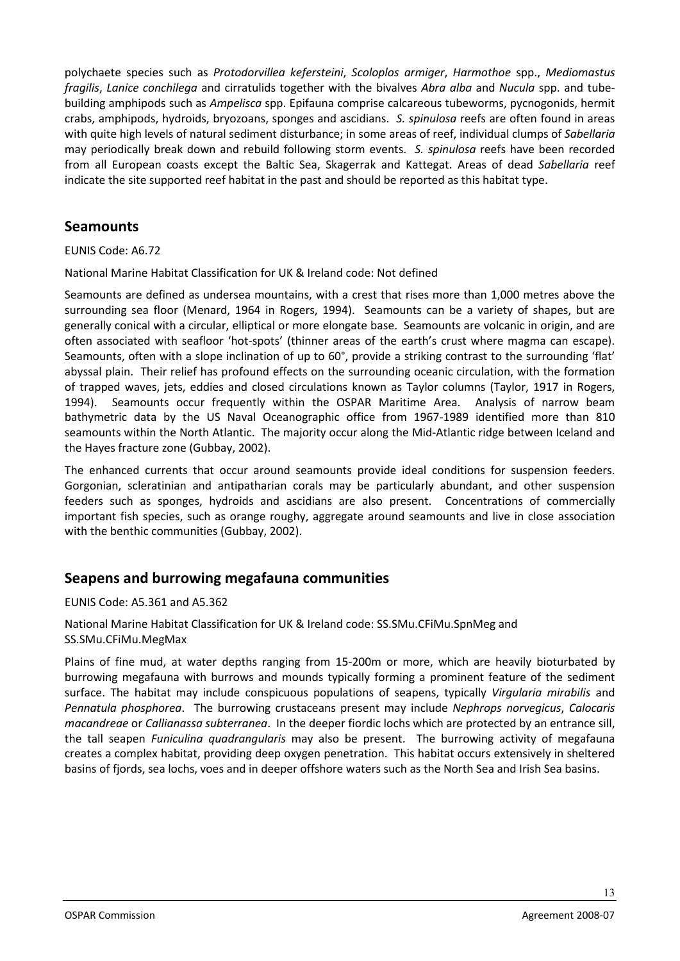polychaete species such as *Protodorvillea kefersteini*, *Scoloplos armiger*, *Harmothoe* spp., *Mediomastus fragilis*, *Lanice conchilega* and cirratulids together with the bivalves *Abra alba* and *Nucula* spp. and tubebuilding amphipods such as *Ampelisca* spp. Epifauna comprise calcareous tubeworms, pycnogonids, hermit crabs, amphipods, hydroids, bryozoans, sponges and ascidians. *S. spinulosa* reefs are often found in areas with quite high levels of natural sediment disturbance; in some areas of reef, individual clumps of *Sabellaria* may periodically break down and rebuild following storm events. *S. spinulosa* reefs have been recorded from all European coasts except the Baltic Sea, Skagerrak and Kattegat. Areas of dead *Sabellaria* reef indicate the site supported reef habitat in the past and should be reported as this habitat type.

### <span id="page-12-0"></span>**Seamounts**

#### EUNIS Code: A6.72

National Marine Habitat Classification for UK & Ireland code: Not defined

Seamounts are defined as undersea mountains, with a crest that rises more than 1,000 metres above the surrounding sea floor (Menard, 1964 in Rogers, 1994). Seamounts can be a variety of shapes, but are generally conical with a circular, elliptical or more elongate base. Seamounts are volcanic in origin, and are often associated with seafloor 'hot-spots' (thinner areas of the earth's crust where magma can escape). Seamounts, often with a slope inclination of up to 60°, provide a striking contrast to the surrounding 'flat' abyssal plain. Their relief has profound effects on the surrounding oceanic circulation, with the formation of trapped waves, jets, eddies and closed circulations known as Taylor columns (Taylor, 1917 in Rogers, 1994). Seamounts occur frequently within the OSPAR Maritime Area. Analysis of narrow beam bathymetric data by the US Naval Oceanographic office from 1967-1989 identified more than 810 seamounts within the North Atlantic. The majority occur along the Mid-Atlantic ridge between Iceland and the Hayes fracture zone (Gubbay, 2002).

The enhanced currents that occur around seamounts provide ideal conditions for suspension feeders. Gorgonian, scleratinian and antipatharian corals may be particularly abundant, and other suspension feeders such as sponges, hydroids and ascidians are also present. Concentrations of commercially important fish species, such as orange roughy, aggregate around seamounts and live in close association with the benthic communities (Gubbay, 2002).

# <span id="page-12-1"></span>**Seapens and burrowing megafauna communities**

EUNIS Code: A5.361 and A5.362

National Marine Habitat Classification for UK & Ireland code: SS.SMu.CFiMu.SpnMeg and SS.SMu.CFiMu.MegMax

Plains of fine mud, at water depths ranging from 15-200m or more, which are heavily bioturbated by burrowing megafauna with burrows and mounds typically forming a prominent feature of the sediment surface. The habitat may include conspicuous populations of seapens, typically *Virgularia mirabilis* and *Pennatula phosphorea*. The burrowing crustaceans present may include *Nephrops norvegicus*, *Calocaris macandreae* or *Callianassa subterranea*. In the deeper fiordic lochs which are protected by an entrance sill, the tall seapen *Funiculina quadrangularis* may also be present. The burrowing activity of megafauna creates a complex habitat, providing deep oxygen penetration. This habitat occurs extensively in sheltered basins of fjords, sea lochs, voes and in deeper offshore waters such as the North Sea and Irish Sea basins.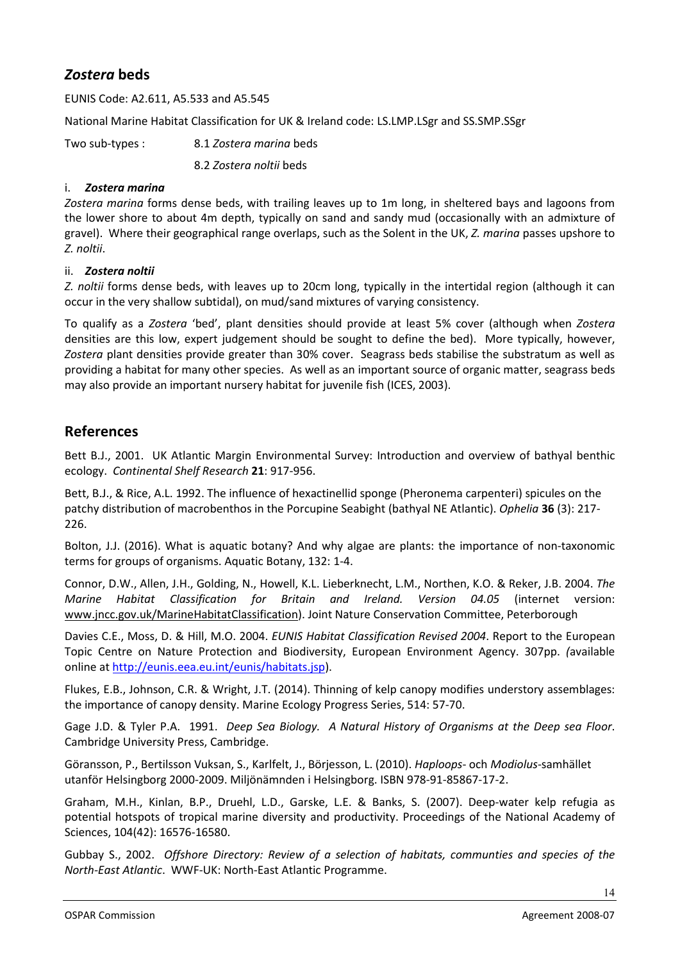# <span id="page-13-0"></span>*Zostera* **beds**

EUNIS Code: A2.611, A5.533 and A5.545

National Marine Habitat Classification for UK & Ireland code: LS.LMP.LSgr and SS.SMP.SSgr

Two sub-types : 8.1 *Zostera marina* beds 8.2 *Zostera noltii* beds

#### i. *Zostera marina*

*Zostera marina* forms dense beds, with trailing leaves up to 1m long, in sheltered bays and lagoons from the lower shore to about 4m depth, typically on sand and sandy mud (occasionally with an admixture of gravel). Where their geographical range overlaps, such as the Solent in the UK, *Z. marina* passes upshore to *Z. noltii*.

#### ii. *Zostera noltii*

*Z. noltii* forms dense beds, with leaves up to 20cm long, typically in the intertidal region (although it can occur in the very shallow subtidal), on mud/sand mixtures of varying consistency.

To qualify as a *Zostera* 'bed', plant densities should provide at least 5% cover (although when *Zostera*  densities are this low, expert judgement should be sought to define the bed). More typically, however, *Zostera* plant densities provide greater than 30% cover. Seagrass beds stabilise the substratum as well as providing a habitat for many other species. As well as an important source of organic matter, seagrass beds may also provide an important nursery habitat for juvenile fish (ICES, 2003).

#### <span id="page-13-1"></span>**References**

Bett B.J., 2001. UK Atlantic Margin Environmental Survey: Introduction and overview of bathyal benthic ecology. *Continental Shelf Research* **21**: 917-956.

Bett, B.J., & Rice, A.L. 1992. The influence of hexactinellid sponge (Pheronema carpenteri) spicules on the patchy distribution of macrobenthos in the Porcupine Seabight (bathyal NE Atlantic). *Ophelia* **36** (3): 217- 226.

Bolton, J.J. (2016). What is aquatic botany? And why algae are plants: the importance of non-taxonomic terms for groups of organisms. Aquatic Botany, 132: 1-4.

Connor, D.W., Allen, J.H., Golding, N., Howell, K.L. Lieberknecht, L.M., Northen, K.O. & Reker, J.B. 2004. *The Marine Habitat Classification for Britain and Ireland. Version 04.05* (internet version: [www.jncc.gov.uk/MarineHabitatClassification\)](http://www.jncc.gov.uk/MarineHabitatClassification). Joint Nature Conservation Committee, Peterborough

Davies C.E., Moss, D. & Hill, M.O. 2004. *EUNIS Habitat Classification Revised 2004*. Report to the European Topic Centre on Nature Protection and Biodiversity, European Environment Agency. 307pp. *(*available online at http://eunis.eea.eu.int/eunis/habitats.jsp).

Flukes, E.B., Johnson, C.R. & Wright, J.T. (2014). Thinning of kelp canopy modifies understory assemblages: the importance of canopy density. Marine Ecology Progress Series, 514: 57-70.

Gage J.D. & Tyler P.A. 1991. *Deep Sea Biology. A Natural History of Organisms at the Deep sea Floor*. Cambridge University Press, Cambridge.

Göransson, P., Bertilsson Vuksan, S., Karlfelt, J., Börjesson, L. (2010). *Haploops*- och *Modiolus*-samhället utanför Helsingborg 2000-2009. Miljönämnden i Helsingborg. ISBN 978-91-85867-17-2.

Graham, M.H., Kinlan, B.P., Druehl, L.D., Garske, L.E. & Banks, S. (2007). Deep-water kelp refugia as potential hotspots of tropical marine diversity and productivity. Proceedings of the National Academy of Sciences, 104(42): 16576-16580.

Gubbay S., 2002. *Offshore Directory: Review of a selection of habitats, communties and species of the North-East Atlantic*. WWF-UK: North-East Atlantic Programme.